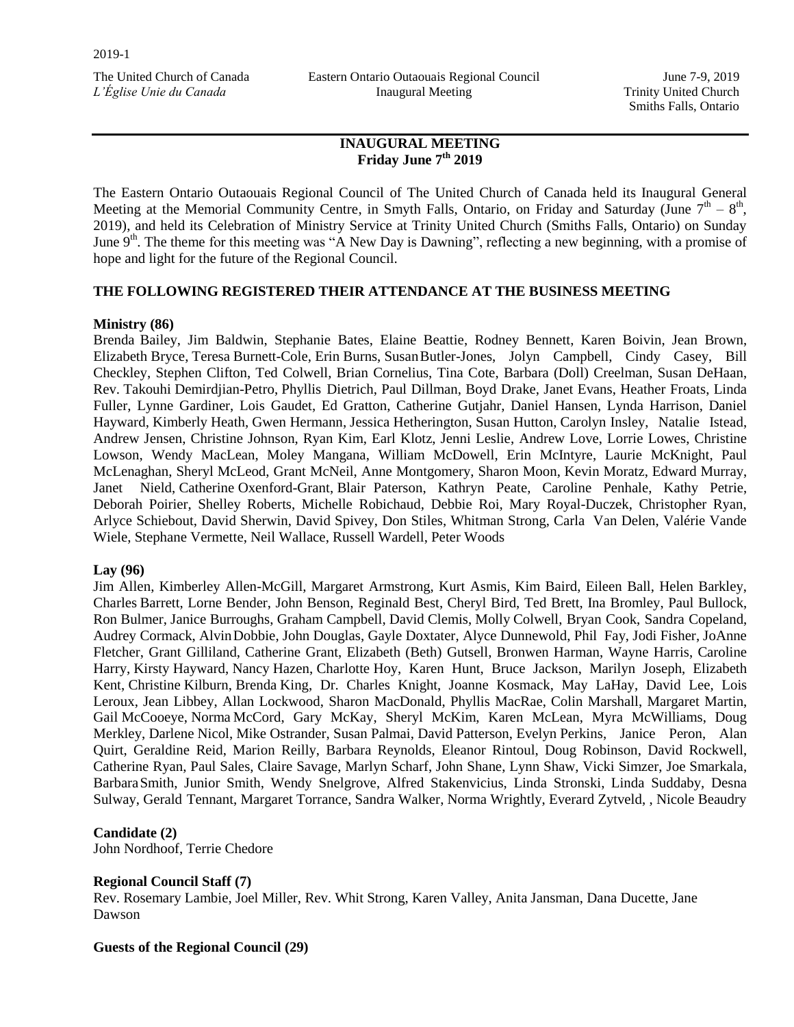Eastern Ontario Outaouais Regional Council Inaugural Meeting

June 7-9, 2019 Trinity United Church Smiths Falls, Ontario

# **INAUGURAL MEETING Friday June 7th 2019**

The Eastern Ontario Outaouais Regional Council of The United Church of Canada held its Inaugural General Meeting at the Memorial Community Centre, in Smyth Falls, Ontario, on Friday and Saturday (June  $7<sup>th</sup> - 8<sup>th</sup>$ , 2019), and held its Celebration of Ministry Service at Trinity United Church (Smiths Falls, Ontario) on Sunday June 9<sup>th</sup>. The theme for this meeting was "A New Day is Dawning", reflecting a new beginning, with a promise of hope and light for the future of the Regional Council.

## **THE FOLLOWING REGISTERED THEIR ATTENDANCE AT THE BUSINESS MEETING**

## **Ministry (86)**

Brenda Bailey, Jim Baldwin, Stephanie Bates, Elaine Beattie, Rodney Bennett, Karen Boivin, Jean Brown, Elizabeth Bryce, Teresa Burnett-Cole, Erin Burns, SusanButler-Jones, Jolyn Campbell, Cindy Casey, Bill Checkley, Stephen Clifton, Ted Colwell, Brian Cornelius, Tina Cote, Barbara (Doll) Creelman, Susan DeHaan, Rev. Takouhi Demirdjian-Petro, Phyllis Dietrich, Paul Dillman, Boyd Drake, Janet Evans, Heather Froats, Linda Fuller, Lynne Gardiner, Lois Gaudet, Ed Gratton, Catherine Gutjahr, Daniel Hansen, Lynda Harrison, Daniel Hayward, Kimberly Heath, Gwen Hermann, Jessica Hetherington, Susan Hutton, Carolyn Insley, Natalie Istead, Andrew Jensen, Christine Johnson, Ryan Kim, Earl Klotz, Jenni Leslie, Andrew Love, Lorrie Lowes, Christine Lowson, Wendy MacLean, Moley Mangana, William McDowell, Erin McIntyre, Laurie McKnight, Paul McLenaghan, Sheryl McLeod, Grant McNeil, Anne Montgomery, Sharon Moon, Kevin Moratz, Edward Murray, Janet Nield, Catherine Oxenford-Grant, Blair Paterson, Kathryn Peate, Caroline Penhale, Kathy Petrie, Deborah Poirier, Shelley Roberts, Michelle Robichaud, Debbie Roi, Mary Royal-Duczek, Christopher Ryan, Arlyce Schiebout, David Sherwin, David Spivey, Don Stiles, Whitman Strong, Carla Van Delen, Valérie Vande Wiele, Stephane Vermette, Neil Wallace, Russell Wardell, Peter Woods

#### **Lay (96)**

Jim Allen, Kimberley Allen-McGill, Margaret Armstrong, Kurt Asmis, Kim Baird, Eileen Ball, Helen Barkley, Charles Barrett, Lorne Bender, John Benson, Reginald Best, Cheryl Bird, Ted Brett, Ina Bromley, Paul Bullock, Ron Bulmer, Janice Burroughs, Graham Campbell, David Clemis, Molly Colwell, Bryan Cook, Sandra Copeland, Audrey Cormack, AlvinDobbie, John Douglas, Gayle Doxtater, Alyce Dunnewold, Phil Fay, Jodi Fisher, JoAnne Fletcher, Grant Gilliland, Catherine Grant, Elizabeth (Beth) Gutsell, Bronwen Harman, Wayne Harris, Caroline Harry, Kirsty Hayward, Nancy Hazen, Charlotte Hoy, Karen Hunt, Bruce Jackson, Marilyn Joseph, Elizabeth Kent, Christine Kilburn, Brenda King, Dr. Charles Knight, Joanne Kosmack, May LaHay, David Lee, Lois Leroux, Jean Libbey, Allan Lockwood, Sharon MacDonald, Phyllis MacRae, Colin Marshall, Margaret Martin, Gail McCooeye, Norma McCord, Gary McKay, Sheryl McKim, Karen McLean, Myra McWilliams, Doug Merkley, Darlene Nicol, Mike Ostrander, Susan Palmai, David Patterson, Evelyn Perkins, Janice Peron, Alan Quirt, Geraldine Reid, Marion Reilly, Barbara Reynolds, Eleanor Rintoul, Doug Robinson, David Rockwell, Catherine Ryan, Paul Sales, Claire Savage, Marlyn Scharf, John Shane, Lynn Shaw, Vicki Simzer, Joe Smarkala, BarbaraSmith, Junior Smith, Wendy Snelgrove, Alfred Stakenvicius, Linda Stronski, Linda Suddaby, Desna Sulway, Gerald Tennant, Margaret Torrance, Sandra Walker, Norma Wrightly, Everard Zytveld, , Nicole Beaudry

## **Candidate (2)**

John Nordhoof, Terrie Chedore

## **Regional Council Staff (7)**

Rev. Rosemary Lambie, Joel Miller, Rev. Whit Strong, Karen Valley, Anita Jansman, Dana Ducette, Jane Dawson

#### **Guests of the Regional Council (29)**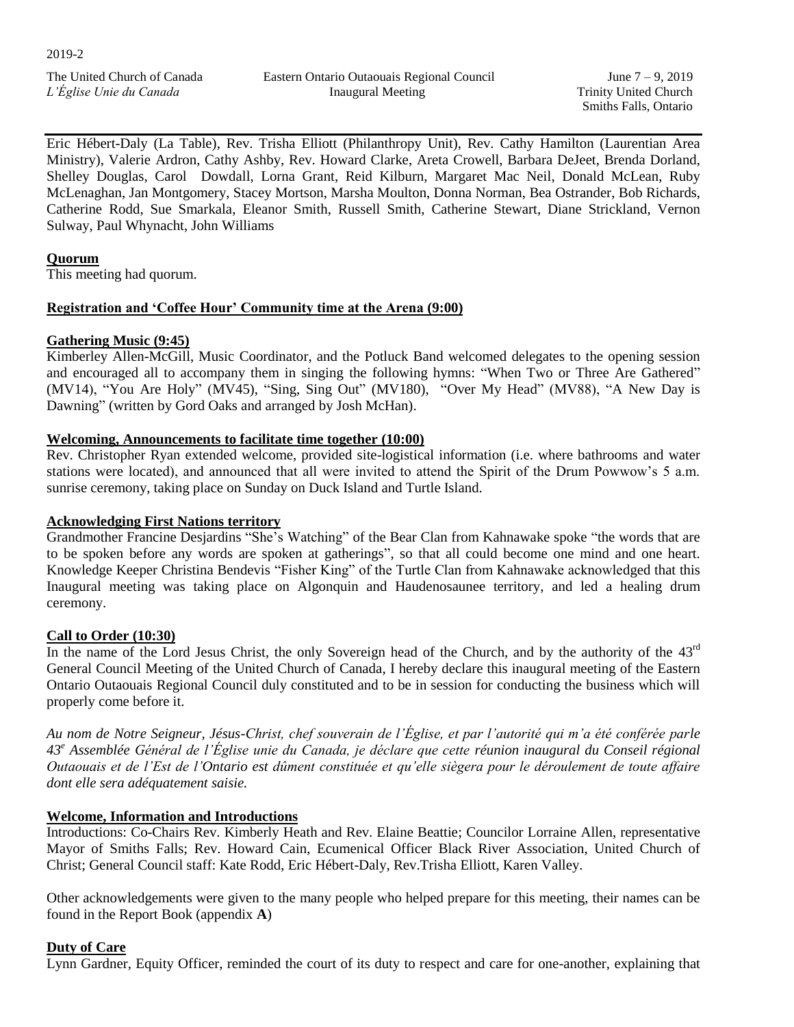June 7 – 9, 2019 Trinity United Church Smiths Falls, Ontario

Eric Hébert-Daly (La Table), Rev. Trisha Elliott (Philanthropy Unit), Rev. Cathy Hamilton (Laurentian Area Ministry), Valerie Ardron, Cathy Ashby, Rev. Howard Clarke, Areta Crowell, Barbara DeJeet, Brenda Dorland, Shelley Douglas, Carol Dowdall, Lorna Grant, Reid Kilburn, Margaret Mac Neil, Donald McLean, Ruby McLenaghan, Jan Montgomery, Stacey Mortson, Marsha Moulton, Donna Norman, Bea Ostrander, Bob Richards, Catherine Rodd, Sue Smarkala, Eleanor Smith, Russell Smith, Catherine Stewart, Diane Strickland, Vernon Sulway, Paul Whynacht, John Williams

## **Quorum**

This meeting had quorum.

## **Registration and 'Coffee Hour' Community time at the Arena (9:00)**

## **Gathering Music (9:45)**

Kimberley Allen-McGill, Music Coordinator, and the Potluck Band welcomed delegates to the opening session and encouraged all to accompany them in singing the following hymns: "When Two or Three Are Gathered" (MV14), "You Are Holy" (MV45), "Sing, Sing Out" (MV180), "Over My Head" (MV88), "A New Day is Dawning" (written by Gord Oaks and arranged by Josh McHan).

## **Welcoming, Announcements to facilitate time together (10:00)**

Rev. Christopher Ryan extended welcome, provided site-logistical information (i.e. where bathrooms and water stations were located), and announced that all were invited to attend the Spirit of the Drum Powwow's 5 a.m. sunrise ceremony, taking place on Sunday on Duck Island and Turtle Island.

### **Acknowledging First Nations territory**

Grandmother Francine Desjardins "She's Watching" of the Bear Clan from Kahnawake spoke "the words that are to be spoken before any words are spoken at gatherings", so that all could become one mind and one heart. Knowledge Keeper Christina Bendevis "Fisher King" of the Turtle Clan from Kahnawake acknowledged that this Inaugural meeting was taking place on Algonquin and Haudenosaunee territory, and led a healing drum ceremony.

## **Call to Order (10:30)**

In the name of the Lord Jesus Christ, the only Sovereign head of the Church, and by the authority of the 43<sup>rd</sup> General Council Meeting of the United Church of Canada, I hereby declare this inaugural meeting of the Eastern Ontario Outaouais Regional Council duly constituted and to be in session for conducting the business which will properly come before it.

*Au nom de Notre Seigneur, Jésus-Christ, chef souverain de l'Église, et par l'autorité qui m'a été conférée parle 43<sup>e</sup> Assemblée Général de l'Église unie du Canada, je déclare que cette réunion inaugural du Conseil régional Outaouais et de l'Est de l'Ontario est dûment constituée et qu'elle siègera pour le déroulement de toute affaire dont elle sera adéquatement saisie.*

## **Welcome, Information and Introductions**

Introductions: Co-Chairs Rev. Kimberly Heath and Rev. Elaine Beattie; Councilor Lorraine Allen, representative Mayor of Smiths Falls; Rev. Howard Cain, Ecumenical Officer Black River Association, United Church of Christ; General Council staff: Kate Rodd, Eric Hébert-Daly, Rev.Trisha Elliott, Karen Valley.

Other acknowledgements were given to the many people who helped prepare for this meeting, their names can be found in the Report Book (appendix **A**)

## **Duty of Care**

Lynn Gardner, Equity Officer, reminded the court of its duty to respect and care for one-another, explaining that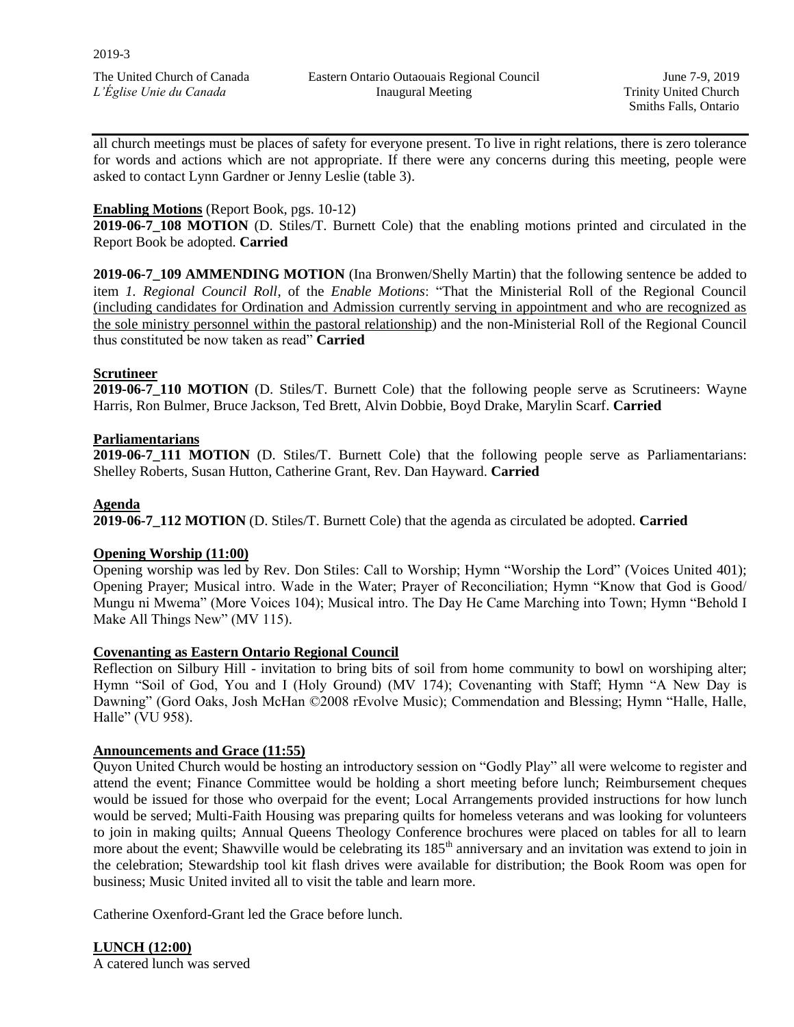June 7-9, 2019 Trinity United Church Smiths Falls, Ontario

all church meetings must be places of safety for everyone present. To live in right relations, there is zero tolerance for words and actions which are not appropriate. If there were any concerns during this meeting, people were asked to contact Lynn Gardner or Jenny Leslie (table 3).

# **Enabling Motions** (Report Book, pgs. 10-12)

**2019-06-7\_108 MOTION** (D. Stiles/T. Burnett Cole) that the enabling motions printed and circulated in the Report Book be adopted. **Carried**

**2019-06-7\_109 AMMENDING MOTION** (Ina Bronwen/Shelly Martin) that the following sentence be added to item *1. Regional Council Roll*, of the *Enable Motions*: "That the Ministerial Roll of the Regional Council (including candidates for Ordination and Admission currently serving in appointment and who are recognized as the sole ministry personnel within the pastoral relationship) and the non-Ministerial Roll of the Regional Council thus constituted be now taken as read" **Carried**

# **Scrutineer**

**2019-06-7\_110 MOTION** (D. Stiles/T. Burnett Cole) that the following people serve as Scrutineers: Wayne Harris, Ron Bulmer, Bruce Jackson, Ted Brett, Alvin Dobbie, Boyd Drake, Marylin Scarf. **Carried**

### **Parliamentarians**

**2019-06-7\_111 MOTION** (D. Stiles/T. Burnett Cole) that the following people serve as Parliamentarians: Shelley Roberts, Susan Hutton, Catherine Grant, Rev. Dan Hayward. **Carried** 

### **Agenda**

**2019-06-7\_112 MOTION** (D. Stiles/T. Burnett Cole) that the agenda as circulated be adopted. **Carried** 

## **Opening Worship (11:00)**

Opening worship was led by Rev. Don Stiles: Call to Worship; Hymn "Worship the Lord" (Voices United 401); Opening Prayer; Musical intro. Wade in the Water; Prayer of Reconciliation; Hymn "Know that God is Good/ Mungu ni Mwema" (More Voices 104); Musical intro. The Day He Came Marching into Town; Hymn "Behold I Make All Things New" (MV 115).

#### **Covenanting as Eastern Ontario Regional Council**

Reflection on Silbury Hill - invitation to bring bits of soil from home community to bowl on worshiping alter; Hymn "Soil of God, You and I (Holy Ground) (MV 174); Covenanting with Staff; Hymn "A New Day is Dawning" (Gord Oaks, Josh McHan ©2008 rEvolve Music); Commendation and Blessing; Hymn "Halle, Halle, Halle" (VU 958).

#### **Announcements and Grace (11:55)**

Quyon United Church would be hosting an introductory session on "Godly Play" all were welcome to register and attend the event; Finance Committee would be holding a short meeting before lunch; Reimbursement cheques would be issued for those who overpaid for the event; Local Arrangements provided instructions for how lunch would be served; Multi-Faith Housing was preparing quilts for homeless veterans and was looking for volunteers to join in making quilts; Annual Queens Theology Conference brochures were placed on tables for all to learn more about the event; Shawville would be celebrating its 185<sup>th</sup> anniversary and an invitation was extend to join in the celebration; Stewardship tool kit flash drives were available for distribution; the Book Room was open for business; Music United invited all to visit the table and learn more.

Catherine Oxenford-Grant led the Grace before lunch.

**LUNCH (12:00)**

A catered lunch was served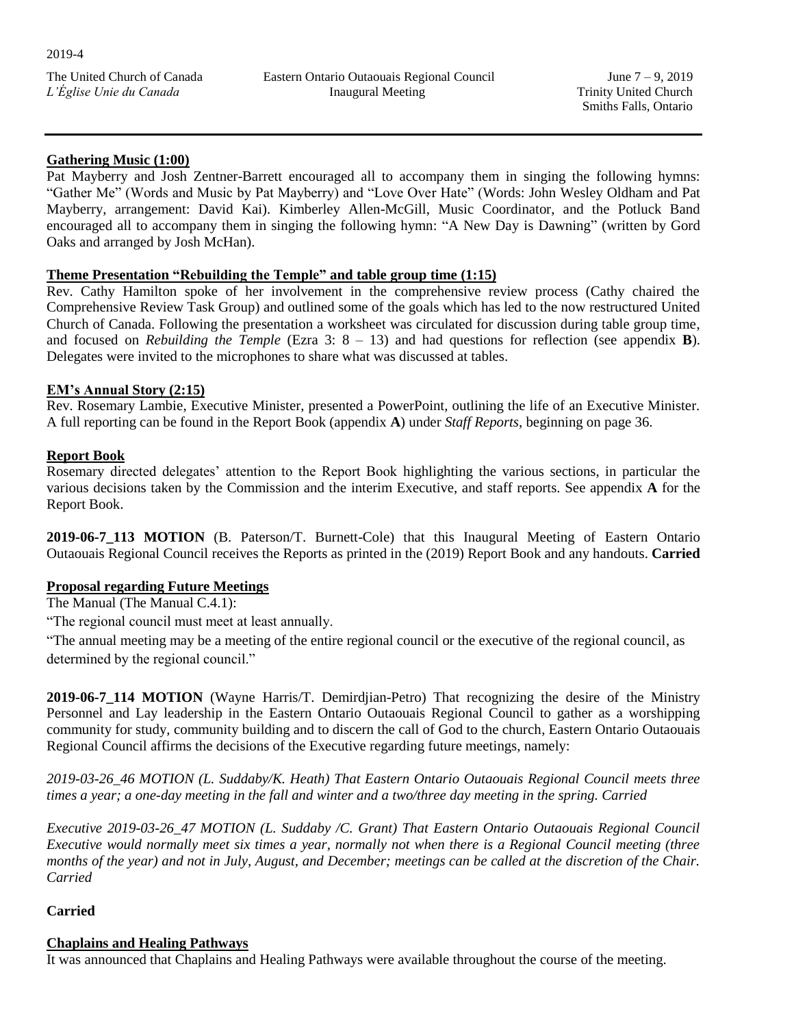## **Gathering Music (1:00)**

Pat Mayberry and Josh Zentner-Barrett encouraged all to accompany them in singing the following hymns: "Gather Me" (Words and Music by Pat Mayberry) and "Love Over Hate" (Words: John Wesley Oldham and Pat Mayberry, arrangement: David Kai). Kimberley Allen-McGill, Music Coordinator, and the Potluck Band encouraged all to accompany them in singing the following hymn: "A New Day is Dawning" (written by Gord Oaks and arranged by Josh McHan).

## **Theme Presentation "Rebuilding the Temple" and table group time (1:15)**

Rev. Cathy Hamilton spoke of her involvement in the comprehensive review process (Cathy chaired the Comprehensive Review Task Group) and outlined some of the goals which has led to the now restructured United Church of Canada. Following the presentation a worksheet was circulated for discussion during table group time, and focused on *Rebuilding the Temple* (Ezra 3:  $8 - 13$ ) and had questions for reflection (see appendix **B**). Delegates were invited to the microphones to share what was discussed at tables.

## **EM's Annual Story (2:15)**

Rev. Rosemary Lambie, Executive Minister, presented a PowerPoint, outlining the life of an Executive Minister. A full reporting can be found in the Report Book (appendix **A**) under *Staff Reports*, beginning on page 36.

## **Report Book**

Rosemary directed delegates' attention to the Report Book highlighting the various sections, in particular the various decisions taken by the Commission and the interim Executive, and staff reports. See appendix **A** for the Report Book.

**2019-06-7\_113 MOTION** (B. Paterson/T. Burnett-Cole) that this Inaugural Meeting of Eastern Ontario Outaouais Regional Council receives the Reports as printed in the (2019) Report Book and any handouts. **Carried** 

## **Proposal regarding Future Meetings**

The Manual (The Manual C.4.1):

"The regional council must meet at least annually.

"The annual meeting may be a meeting of the entire regional council or the executive of the regional council, as determined by the regional council."

**2019-06-7\_114 MOTION** (Wayne Harris/T. Demirdjian-Petro) That recognizing the desire of the Ministry Personnel and Lay leadership in the Eastern Ontario Outaouais Regional Council to gather as a worshipping community for study, community building and to discern the call of God to the church, Eastern Ontario Outaouais Regional Council affirms the decisions of the Executive regarding future meetings, namely:

*2019-03-26\_46 MOTION (L. Suddaby/K. Heath) That Eastern Ontario Outaouais Regional Council meets three times a year; a one-day meeting in the fall and winter and a two/three day meeting in the spring. Carried* 

*Executive 2019-03-26\_47 MOTION (L. Suddaby /C. Grant) That Eastern Ontario Outaouais Regional Council Executive would normally meet six times a year, normally not when there is a Regional Council meeting (three months of the year) and not in July, August, and December; meetings can be called at the discretion of the Chair. Carried*

# **Carried**

# **Chaplains and Healing Pathways**

It was announced that Chaplains and Healing Pathways were available throughout the course of the meeting.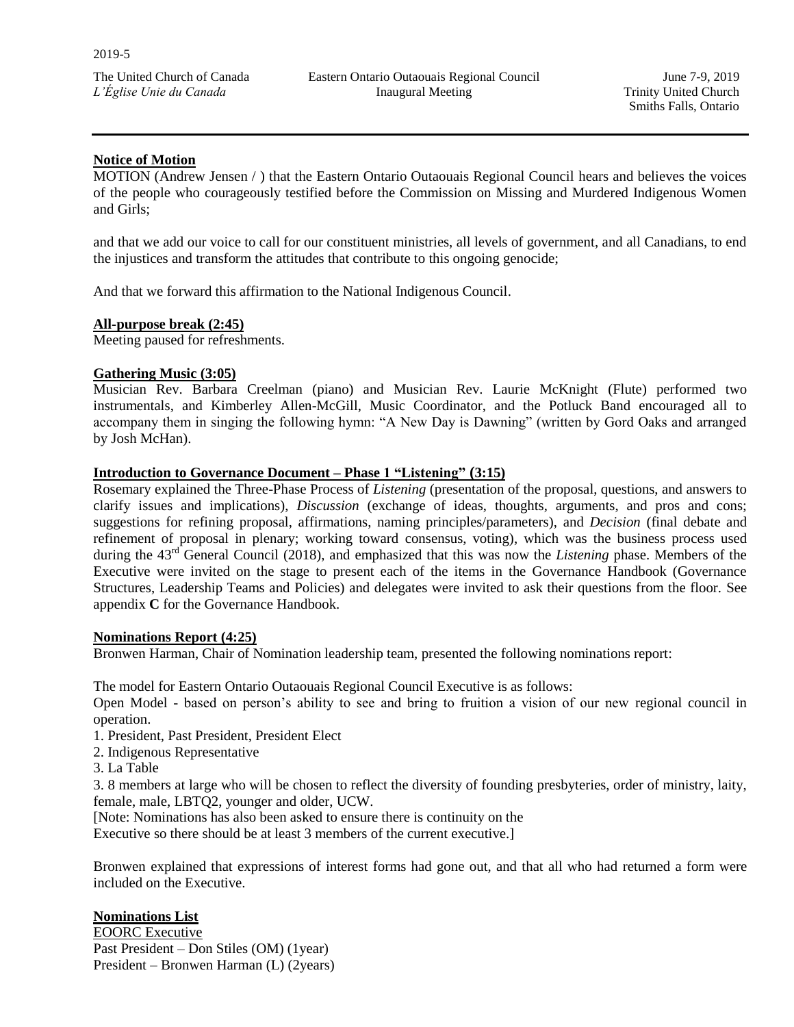## **Notice of Motion**

MOTION (Andrew Jensen / ) that the Eastern Ontario Outaouais Regional Council hears and believes the voices of the people who courageously testified before the Commission on Missing and Murdered Indigenous Women and Girls;

and that we add our voice to call for our constituent ministries, all levels of government, and all Canadians, to end the injustices and transform the attitudes that contribute to this ongoing genocide;

And that we forward this affirmation to the National Indigenous Council.

### **All-purpose break (2:45)**

Meeting paused for refreshments.

### **Gathering Music (3:05)**

Musician Rev. Barbara Creelman (piano) and Musician Rev. Laurie McKnight (Flute) performed two instrumentals, and Kimberley Allen-McGill, Music Coordinator, and the Potluck Band encouraged all to accompany them in singing the following hymn: "A New Day is Dawning" (written by Gord Oaks and arranged by Josh McHan).

### **Introduction to Governance Document – Phase 1 "Listening" (3:15)**

Rosemary explained the Three-Phase Process of *Listening* (presentation of the proposal, questions, and answers to clarify issues and implications), *Discussion* (exchange of ideas, thoughts, arguments, and pros and cons; suggestions for refining proposal, affirmations, naming principles/parameters), and *Decision* (final debate and refinement of proposal in plenary; working toward consensus, voting), which was the business process used during the 43<sup>rd</sup> General Council (2018), and emphasized that this was now the *Listening* phase. Members of the Executive were invited on the stage to present each of the items in the Governance Handbook (Governance Structures, Leadership Teams and Policies) and delegates were invited to ask their questions from the floor. See appendix **C** for the Governance Handbook.

#### **Nominations Report (4:25)**

Bronwen Harman, Chair of Nomination leadership team, presented the following nominations report:

The model for Eastern Ontario Outaouais Regional Council Executive is as follows:

Open Model - based on person's ability to see and bring to fruition a vision of our new regional council in operation.

1. President, Past President, President Elect

- 2. Indigenous Representative
- 3. La Table

3. 8 members at large who will be chosen to reflect the diversity of founding presbyteries, order of ministry, laity, female, male, LBTQ2, younger and older, UCW.

[Note: Nominations has also been asked to ensure there is continuity on the

Executive so there should be at least 3 members of the current executive.]

Bronwen explained that expressions of interest forms had gone out, and that all who had returned a form were included on the Executive.

## **Nominations List**

EOORC Executive Past President – Don Stiles (OM) (1year) President – Bronwen Harman (L) (2years)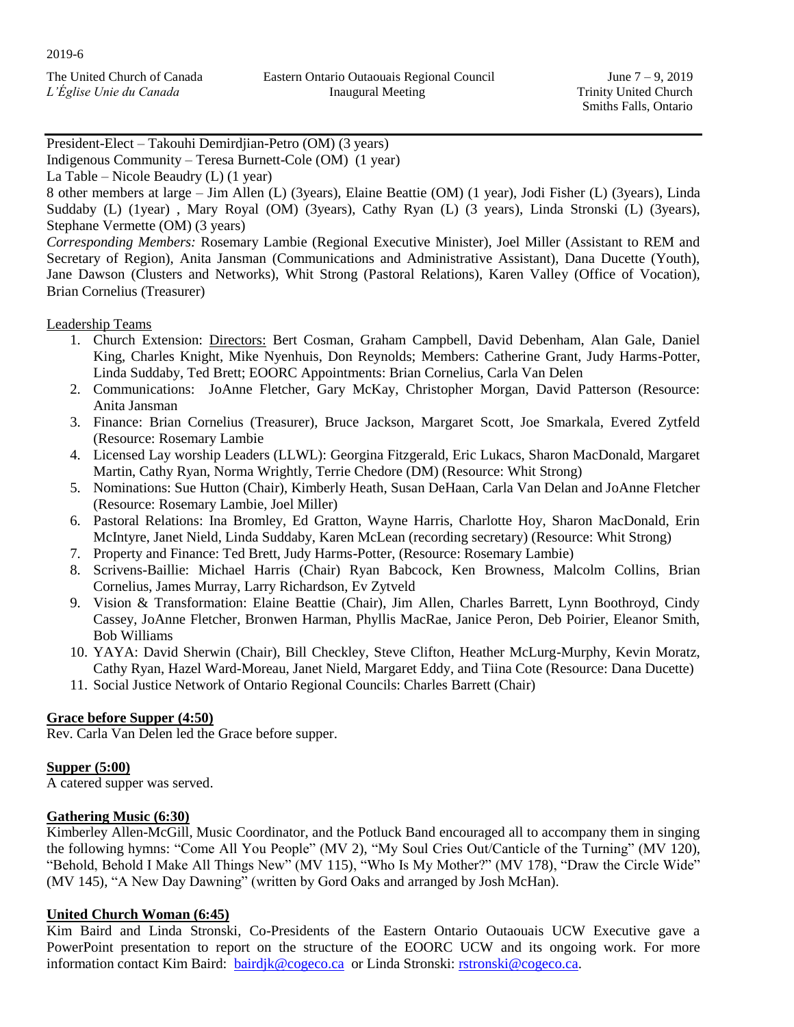| The United Church of Canada |  |
|-----------------------------|--|
| L'Église Unie du Canada     |  |

President-Elect – Takouhi Demirdjian-Petro (OM) (3 years)

Indigenous Community – Teresa Burnett-Cole (OM) (1 year)

La Table – Nicole Beaudry (L) (1 year)

8 other members at large – Jim Allen (L) (3years), Elaine Beattie (OM) (1 year), Jodi Fisher (L) (3years), Linda Suddaby (L) (1year) , Mary Royal (OM) (3years), Cathy Ryan (L) (3 years), Linda Stronski (L) (3years), Stephane Vermette (OM) (3 years)

*Corresponding Members:* Rosemary Lambie (Regional Executive Minister), Joel Miller (Assistant to REM and Secretary of Region), Anita Jansman (Communications and Administrative Assistant), Dana Ducette (Youth), Jane Dawson (Clusters and Networks), Whit Strong (Pastoral Relations), Karen Valley (Office of Vocation), Brian Cornelius (Treasurer)

Leadership Teams

- 1. Church Extension: Directors: Bert Cosman, Graham Campbell, David Debenham, Alan Gale, Daniel King, Charles Knight, Mike Nyenhuis, Don Reynolds; Members: Catherine Grant, Judy Harms-Potter, Linda Suddaby, Ted Brett; EOORC Appointments: Brian Cornelius, Carla Van Delen
- 2. Communications: JoAnne Fletcher, Gary McKay, Christopher Morgan, David Patterson (Resource: Anita Jansman
- 3. Finance: Brian Cornelius (Treasurer), Bruce Jackson, Margaret Scott, Joe Smarkala, Evered Zytfeld (Resource: Rosemary Lambie
- 4. Licensed Lay worship Leaders (LLWL): Georgina Fitzgerald, Eric Lukacs, Sharon MacDonald, Margaret Martin, Cathy Ryan, Norma Wrightly, Terrie Chedore (DM) (Resource: Whit Strong)
- 5. Nominations: Sue Hutton (Chair), Kimberly Heath, Susan DeHaan, Carla Van Delan and JoAnne Fletcher (Resource: Rosemary Lambie, Joel Miller)
- 6. Pastoral Relations: Ina Bromley, Ed Gratton, Wayne Harris, Charlotte Hoy, Sharon MacDonald, Erin McIntyre, Janet Nield, Linda Suddaby, Karen McLean (recording secretary) (Resource: Whit Strong)
- 7. Property and Finance: Ted Brett, Judy Harms-Potter, (Resource: Rosemary Lambie)
- 8. Scrivens-Baillie: Michael Harris (Chair) Ryan Babcock, Ken Browness, Malcolm Collins, Brian Cornelius, James Murray, Larry Richardson, Ev Zytveld
- 9. Vision & Transformation: Elaine Beattie (Chair), Jim Allen, Charles Barrett, Lynn Boothroyd, Cindy Cassey, JoAnne Fletcher, Bronwen Harman, Phyllis MacRae, Janice Peron, Deb Poirier, Eleanor Smith, Bob Williams
- 10. YAYA: David Sherwin (Chair), Bill Checkley, Steve Clifton, Heather McLurg-Murphy, Kevin Moratz, Cathy Ryan, Hazel Ward-Moreau, Janet Nield, Margaret Eddy, and Tiina Cote (Resource: Dana Ducette)
- 11. Social Justice Network of Ontario Regional Councils: Charles Barrett (Chair)

## **Grace before Supper (4:50)**

Rev. Carla Van Delen led the Grace before supper.

## **Supper (5:00)**

A catered supper was served.

## **Gathering Music (6:30)**

Kimberley Allen-McGill, Music Coordinator, and the Potluck Band encouraged all to accompany them in singing the following hymns: "Come All You People" (MV 2), "My Soul Cries Out/Canticle of the Turning" (MV 120), "Behold, Behold I Make All Things New" (MV 115), "Who Is My Mother?" (MV 178), "Draw the Circle Wide" (MV 145), "A New Day Dawning" (written by Gord Oaks and arranged by Josh McHan).

## **United Church Woman (6:45)**

Kim Baird and Linda Stronski, Co-Presidents of the Eastern Ontario Outaouais UCW Executive gave a PowerPoint presentation to report on the structure of the EOORC UCW and its ongoing work. For more information contact Kim Baird: [bairdjk@cogeco.ca](mailto:bairdjk@cogeco.ca) or Linda Stronski: [rstronski@cogeco.ca.](mailto:rstronski@cogeco.ca)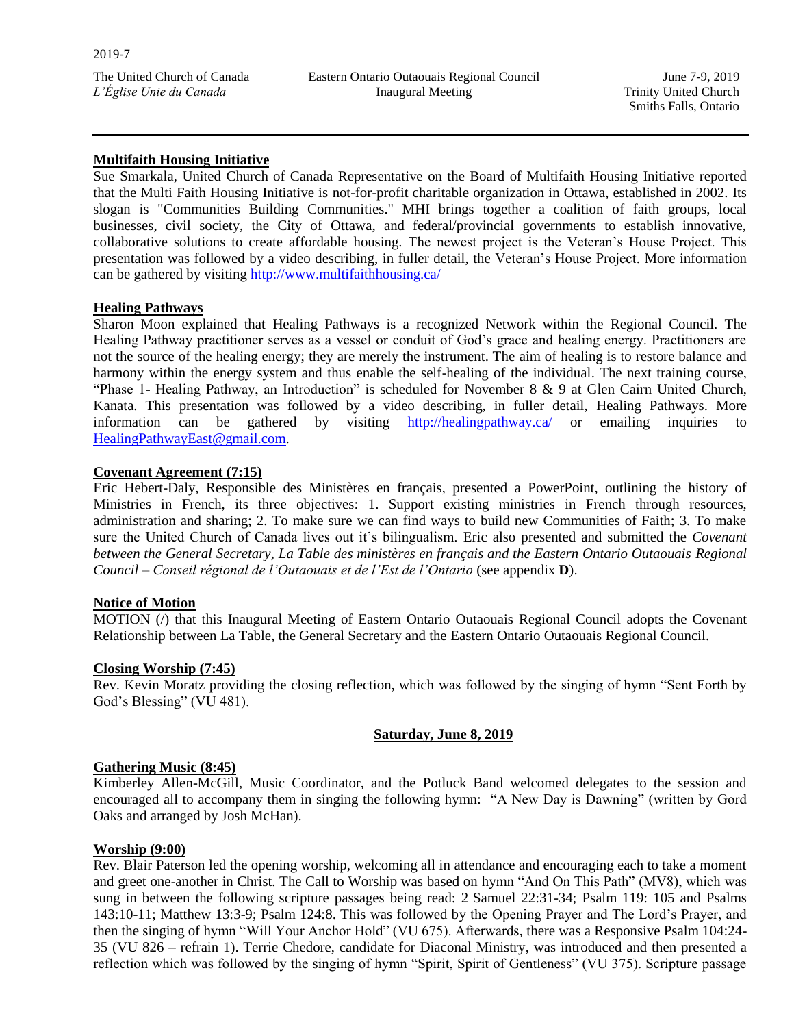June 7-9, 2019 Trinity United Church Smiths Falls, Ontario

## **Multifaith Housing Initiative**

Sue Smarkala, United Church of Canada Representative on the Board of Multifaith Housing Initiative reported that the Multi Faith Housing Initiative is not-for-profit charitable organization in Ottawa, established in 2002. Its slogan is "Communities Building Communities." MHI brings together a coalition of faith groups, local businesses, civil society, the City of Ottawa, and federal/provincial governments to establish innovative, collaborative solutions to create affordable housing. The newest project is the Veteran's House Project. This presentation was followed by a video describing, in fuller detail, the Veteran's House Project. More information can be gathered by visiting<http://www.multifaithhousing.ca/>

## **Healing Pathways**

Sharon Moon explained that Healing Pathways is a recognized Network within the Regional Council. The Healing Pathway practitioner serves as a vessel or conduit of God's grace and healing energy. Practitioners are not the source of the healing energy; they are merely the instrument. The aim of healing is to restore balance and harmony within the energy system and thus enable the self-healing of the individual. The next training course, "Phase 1- Healing Pathway, an Introduction" is scheduled for November 8 & 9 at Glen Cairn United Church, Kanata. This presentation was followed by a video describing, in fuller detail, Healing Pathways. More information can be gathered by visiting <http://healingpathway.ca/> or emailing inquiries to [HealingPathwayEast@gmail.com.](mailto:HealingPathwayEast@gmail.com)

### **Covenant Agreement (7:15)**

Eric Hebert-Daly, Responsible des Ministères en français, presented a PowerPoint, outlining the history of Ministries in French, its three objectives: 1. Support existing ministries in French through resources, administration and sharing; 2. To make sure we can find ways to build new Communities of Faith; 3. To make sure the United Church of Canada lives out it's bilingualism. Eric also presented and submitted the *Covenant between the General Secretary, La Table des ministères en français and the Eastern Ontario Outaouais Regional Council – Conseil régional de l'Outaouais et de l'Est de l'Ontario* (see appendix **D**).

#### **Notice of Motion**

MOTION (/) that this Inaugural Meeting of Eastern Ontario Outaouais Regional Council adopts the Covenant Relationship between La Table, the General Secretary and the Eastern Ontario Outaouais Regional Council.

#### **Closing Worship (7:45)**

Rev. Kevin Moratz providing the closing reflection, which was followed by the singing of hymn "Sent Forth by God's Blessing" (VU 481).

## **Saturday, June 8, 2019**

### **Gathering Music (8:45)**

Kimberley Allen-McGill, Music Coordinator, and the Potluck Band welcomed delegates to the session and encouraged all to accompany them in singing the following hymn: "A New Day is Dawning" (written by Gord Oaks and arranged by Josh McHan).

#### **Worship (9:00)**

Rev. Blair Paterson led the opening worship, welcoming all in attendance and encouraging each to take a moment and greet one-another in Christ. The Call to Worship was based on hymn "And On This Path" (MV8), which was sung in between the following scripture passages being read: 2 Samuel 22:31-34; Psalm 119: 105 and Psalms 143:10-11; Matthew 13:3-9; Psalm 124:8. This was followed by the Opening Prayer and The Lord's Prayer, and then the singing of hymn "Will Your Anchor Hold" (VU 675). Afterwards, there was a Responsive Psalm 104:24- 35 (VU 826 – refrain 1). Terrie Chedore, candidate for Diaconal Ministry, was introduced and then presented a reflection which was followed by the singing of hymn "Spirit, Spirit of Gentleness" (VU 375). Scripture passage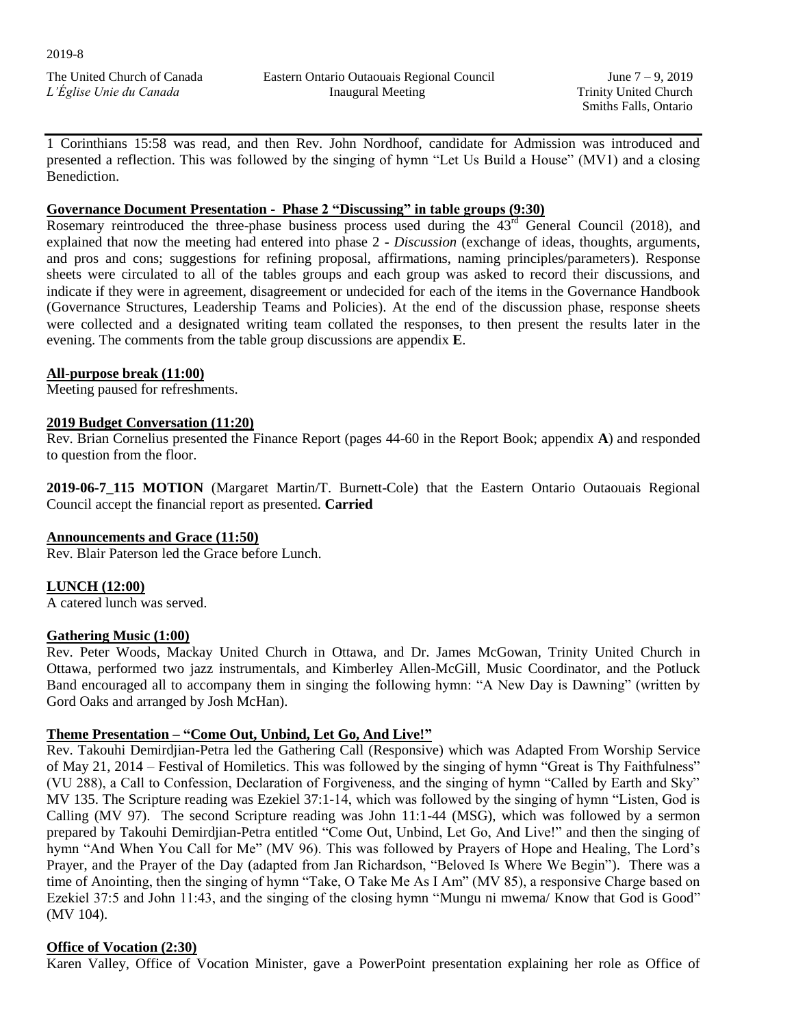June 7 – 9, 2019 Trinity United Church Smiths Falls, Ontario

1 Corinthians 15:58 was read, and then Rev. John Nordhoof, candidate for Admission was introduced and presented a reflection. This was followed by the singing of hymn "Let Us Build a House" (MV1) and a closing Benediction.

### **Governance Document Presentation - Phase 2 "Discussing" in table groups (9:30)**

Rosemary reintroduced the three-phase business process used during the  $43<sup>rd</sup>$  General Council (2018), and explained that now the meeting had entered into phase 2 - *Discussion* (exchange of ideas, thoughts, arguments, and pros and cons; suggestions for refining proposal, affirmations, naming principles/parameters). Response sheets were circulated to all of the tables groups and each group was asked to record their discussions, and indicate if they were in agreement, disagreement or undecided for each of the items in the Governance Handbook (Governance Structures, Leadership Teams and Policies). At the end of the discussion phase, response sheets were collected and a designated writing team collated the responses, to then present the results later in the evening. The comments from the table group discussions are appendix **E**.

### **All-purpose break (11:00)**

Meeting paused for refreshments.

### **2019 Budget Conversation (11:20)**

Rev. Brian Cornelius presented the Finance Report (pages 44-60 in the Report Book; appendix **A**) and responded to question from the floor.

**2019-06-7\_115 MOTION** (Margaret Martin/T. Burnett-Cole) that the Eastern Ontario Outaouais Regional Council accept the financial report as presented. **Carried**

## **Announcements and Grace (11:50)**

Rev. Blair Paterson led the Grace before Lunch.

## **LUNCH (12:00)**

A catered lunch was served.

## **Gathering Music (1:00)**

Rev. Peter Woods, Mackay United Church in Ottawa, and Dr. James McGowan, Trinity United Church in Ottawa, performed two jazz instrumentals, and Kimberley Allen-McGill, Music Coordinator, and the Potluck Band encouraged all to accompany them in singing the following hymn: "A New Day is Dawning" (written by Gord Oaks and arranged by Josh McHan).

## **Theme Presentation – "Come Out, Unbind, Let Go, And Live!"**

Rev. Takouhi Demirdjian-Petra led the Gathering Call (Responsive) which was Adapted From Worship Service of May 21, 2014 – Festival of Homiletics. This was followed by the singing of hymn "Great is Thy Faithfulness" (VU 288), a Call to Confession, Declaration of Forgiveness, and the singing of hymn "Called by Earth and Sky" MV 135. The Scripture reading was Ezekiel 37:1-14, which was followed by the singing of hymn "Listen, God is Calling (MV 97). The second Scripture reading was John 11:1-44 (MSG), which was followed by a sermon prepared by Takouhi Demirdjian-Petra entitled "Come Out, Unbind, Let Go, And Live!" and then the singing of hymn "And When You Call for Me" (MV 96). This was followed by Prayers of Hope and Healing, The Lord's Prayer, and the Prayer of the Day (adapted from Jan Richardson, "Beloved Is Where We Begin"). There was a time of Anointing, then the singing of hymn "Take, O Take Me As I Am" (MV 85), a responsive Charge based on Ezekiel 37:5 and John 11:43, and the singing of the closing hymn "Mungu ni mwema/ Know that God is Good" (MV 104).

## **Office of Vocation (2:30)**

Karen Valley, Office of Vocation Minister, gave a PowerPoint presentation explaining her role as Office of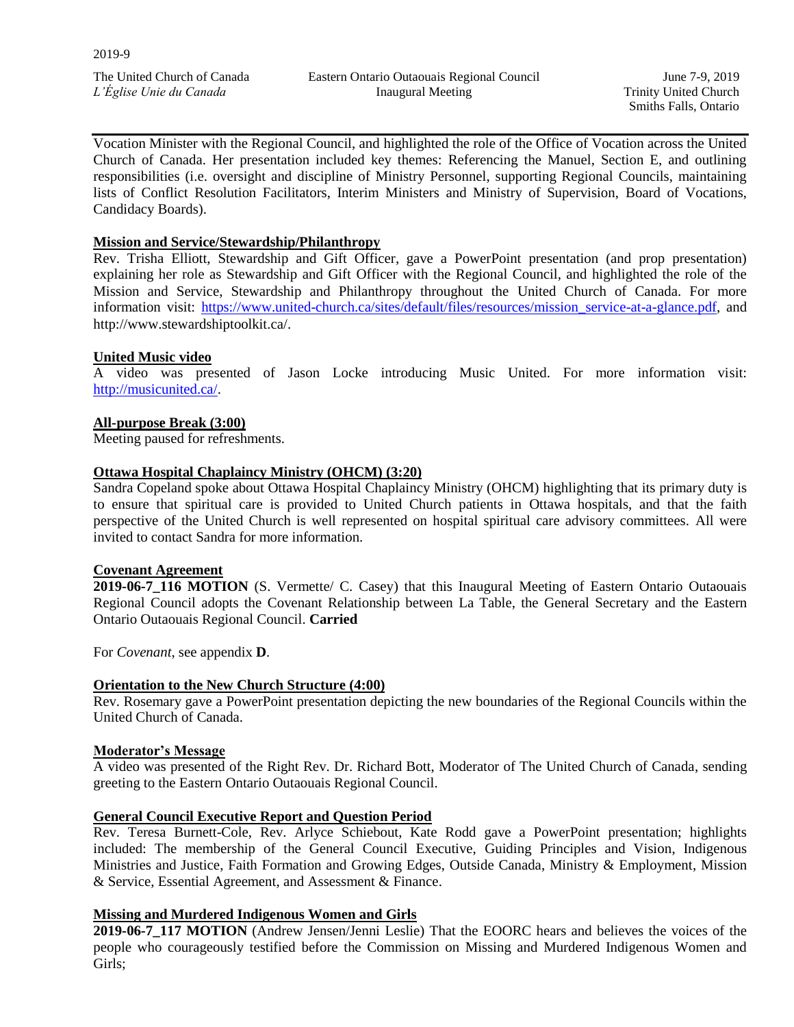Eastern Ontario Outaouais Regional Council Inaugural Meeting

June 7-9, 2019 Trinity United Church Smiths Falls, Ontario

Vocation Minister with the Regional Council, and highlighted the role of the Office of Vocation across the United Church of Canada. Her presentation included key themes: Referencing the Manuel, Section E, and outlining responsibilities (i.e. oversight and discipline of Ministry Personnel, supporting Regional Councils, maintaining lists of Conflict Resolution Facilitators, Interim Ministers and Ministry of Supervision, Board of Vocations, Candidacy Boards).

### **Mission and Service/Stewardship/Philanthropy**

Rev. Trisha Elliott, Stewardship and Gift Officer, gave a PowerPoint presentation (and prop presentation) explaining her role as Stewardship and Gift Officer with the Regional Council, and highlighted the role of the Mission and Service, Stewardship and Philanthropy throughout the United Church of Canada. For more information visit: [https://www.united-church.ca/sites/default/files/resources/mission\\_service-at-a-glance.pdf,](https://www.united-church.ca/sites/default/files/resources/mission_service-at-a-glance.pdf) and http://www.stewardshiptoolkit.ca/.

### **United Music video**

A video was presented of Jason Locke introducing Music United. For more information visit: [http://musicunited.ca/.](http://musicunited.ca/)

#### **All-purpose Break (3:00)**

Meeting paused for refreshments.

### **Ottawa Hospital Chaplaincy Ministry (OHCM) (3:20)**

Sandra Copeland spoke about Ottawa Hospital Chaplaincy Ministry (OHCM) highlighting that its primary duty is to ensure that spiritual care is provided to United Church patients in Ottawa hospitals, and that the faith perspective of the United Church is well represented on hospital spiritual care advisory committees. All were invited to contact Sandra for more information.

#### **Covenant Agreement**

**2019-06-7\_116 MOTION** (S. Vermette/ C. Casey) that this Inaugural Meeting of Eastern Ontario Outaouais Regional Council adopts the Covenant Relationship between La Table, the General Secretary and the Eastern Ontario Outaouais Regional Council. **Carried** 

For *Covenant*, see appendix **D**.

#### **Orientation to the New Church Structure (4:00)**

Rev. Rosemary gave a PowerPoint presentation depicting the new boundaries of the Regional Councils within the United Church of Canada.

#### **Moderator's Message**

A video was presented of the Right Rev. Dr. Richard Bott, Moderator of The United Church of Canada, sending greeting to the Eastern Ontario Outaouais Regional Council.

#### **General Council Executive Report and Question Period**

Rev. Teresa Burnett-Cole, Rev. Arlyce Schiebout, Kate Rodd gave a PowerPoint presentation; highlights included: The membership of the General Council Executive, Guiding Principles and Vision, Indigenous Ministries and Justice, Faith Formation and Growing Edges, Outside Canada, Ministry & Employment, Mission & Service, Essential Agreement, and Assessment & Finance.

#### **Missing and Murdered Indigenous Women and Girls**

**2019-06-7\_117 MOTION** (Andrew Jensen/Jenni Leslie) That the EOORC hears and believes the voices of the people who courageously testified before the Commission on Missing and Murdered Indigenous Women and Girls;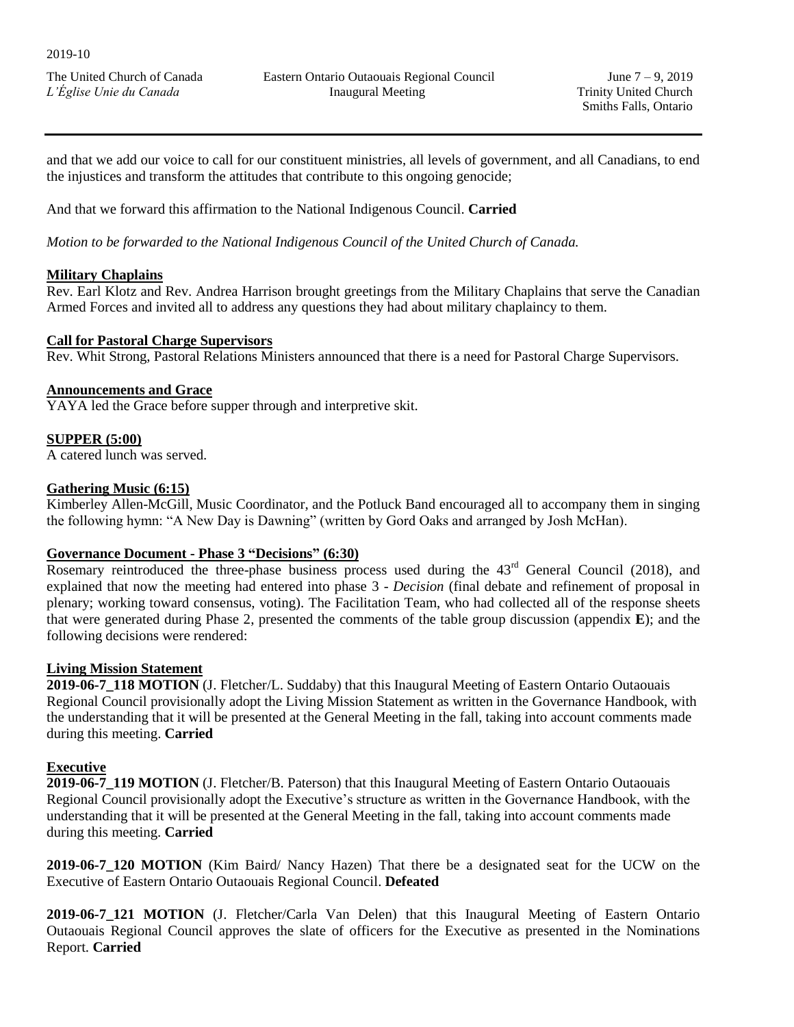and that we add our voice to call for our constituent ministries, all levels of government, and all Canadians, to end the injustices and transform the attitudes that contribute to this ongoing genocide;

And that we forward this affirmation to the National Indigenous Council. **Carried** 

*Motion to be forwarded to the National Indigenous Council of the United Church of Canada.*

## **Military Chaplains**

Rev. Earl Klotz and Rev. Andrea Harrison brought greetings from the Military Chaplains that serve the Canadian Armed Forces and invited all to address any questions they had about military chaplaincy to them.

### **Call for Pastoral Charge Supervisors**

Rev. Whit Strong, Pastoral Relations Ministers announced that there is a need for Pastoral Charge Supervisors.

### **Announcements and Grace**

YAYA led the Grace before supper through and interpretive skit.

### **SUPPER (5:00)**

A catered lunch was served.

## **Gathering Music (6:15)**

Kimberley Allen-McGill, Music Coordinator, and the Potluck Band encouraged all to accompany them in singing the following hymn: "A New Day is Dawning" (written by Gord Oaks and arranged by Josh McHan).

#### **Governance Document - Phase 3 "Decisions" (6:30)**

Rosemary reintroduced the three-phase business process used during the 43<sup>rd</sup> General Council (2018), and explained that now the meeting had entered into phase 3 - *Decision* (final debate and refinement of proposal in plenary; working toward consensus, voting). The Facilitation Team, who had collected all of the response sheets that were generated during Phase 2, presented the comments of the table group discussion (appendix **E**); and the following decisions were rendered:

#### **Living Mission Statement**

**2019-06-7\_118 MOTION** (J. Fletcher/L. Suddaby) that this Inaugural Meeting of Eastern Ontario Outaouais Regional Council provisionally adopt the Living Mission Statement as written in the Governance Handbook, with the understanding that it will be presented at the General Meeting in the fall, taking into account comments made during this meeting. **Carried** 

## **Executive**

**2019-06-7\_119 MOTION** (J. Fletcher/B. Paterson) that this Inaugural Meeting of Eastern Ontario Outaouais Regional Council provisionally adopt the Executive's structure as written in the Governance Handbook, with the understanding that it will be presented at the General Meeting in the fall, taking into account comments made during this meeting. **Carried** 

**2019-06-7\_120 MOTION** (Kim Baird/ Nancy Hazen) That there be a designated seat for the UCW on the Executive of Eastern Ontario Outaouais Regional Council. **Defeated**

**2019-06-7\_121 MOTION** (J. Fletcher/Carla Van Delen) that this Inaugural Meeting of Eastern Ontario Outaouais Regional Council approves the slate of officers for the Executive as presented in the Nominations Report. **Carried**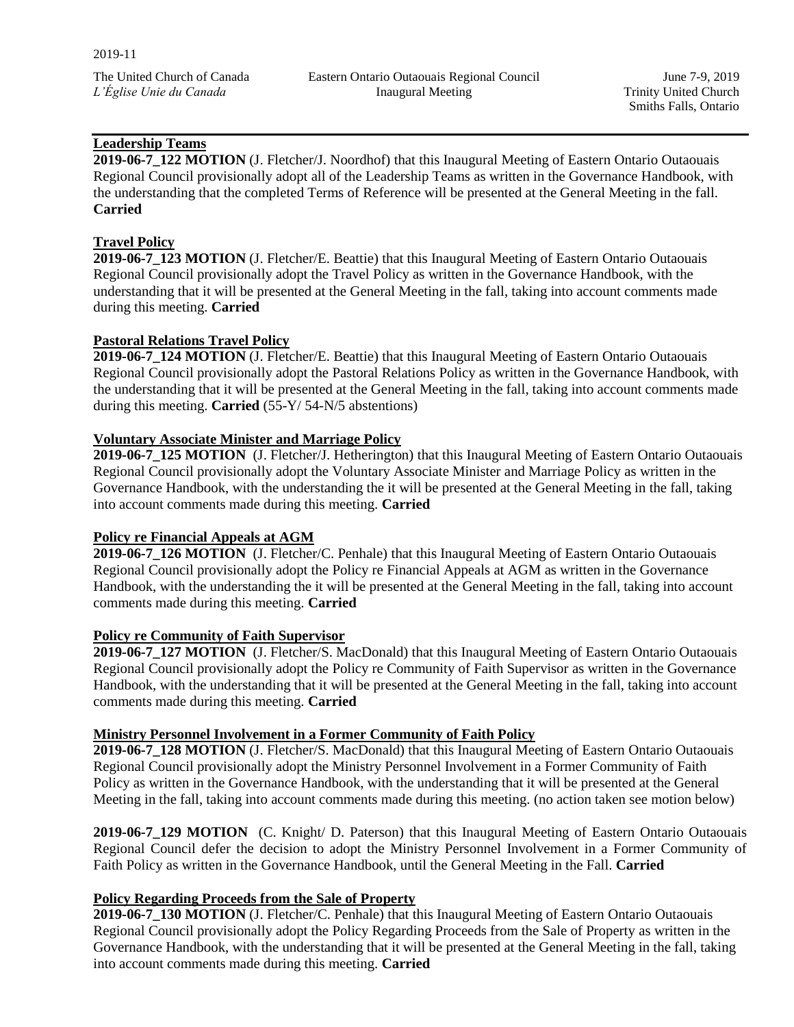June 7-9, 2019 Trinity United Church Smiths Falls, Ontario

# **Leadership Teams**

**2019-06-7\_122 MOTION** (J. Fletcher/J. Noordhof) that this Inaugural Meeting of Eastern Ontario Outaouais Regional Council provisionally adopt all of the Leadership Teams as written in the Governance Handbook, with the understanding that the completed Terms of Reference will be presented at the General Meeting in the fall. **Carried** 

## **Travel Policy**

**2019-06-7\_123 MOTION** (J. Fletcher/E. Beattie) that this Inaugural Meeting of Eastern Ontario Outaouais Regional Council provisionally adopt the Travel Policy as written in the Governance Handbook, with the understanding that it will be presented at the General Meeting in the fall, taking into account comments made during this meeting. **Carried** 

## **Pastoral Relations Travel Policy**

**2019-06-7\_124 MOTION** (J. Fletcher/E. Beattie) that this Inaugural Meeting of Eastern Ontario Outaouais Regional Council provisionally adopt the Pastoral Relations Policy as written in the Governance Handbook, with the understanding that it will be presented at the General Meeting in the fall, taking into account comments made during this meeting. **Carried** (55-Y/ 54-N/5 abstentions)

### **Voluntary Associate Minister and Marriage Policy**

**2019-06-7\_125 MOTION** (J. Fletcher/J. Hetherington) that this Inaugural Meeting of Eastern Ontario Outaouais Regional Council provisionally adopt the Voluntary Associate Minister and Marriage Policy as written in the Governance Handbook, with the understanding the it will be presented at the General Meeting in the fall, taking into account comments made during this meeting. **Carried** 

## **Policy re Financial Appeals at AGM**

**2019-06-7\_126 MOTION** (J. Fletcher/C. Penhale) that this Inaugural Meeting of Eastern Ontario Outaouais Regional Council provisionally adopt the Policy re Financial Appeals at AGM as written in the Governance Handbook, with the understanding the it will be presented at the General Meeting in the fall, taking into account comments made during this meeting. **Carried** 

#### **Policy re Community of Faith Supervisor**

**2019-06-7\_127 MOTION** (J. Fletcher/S. MacDonald) that this Inaugural Meeting of Eastern Ontario Outaouais Regional Council provisionally adopt the Policy re Community of Faith Supervisor as written in the Governance Handbook, with the understanding that it will be presented at the General Meeting in the fall, taking into account comments made during this meeting. **Carried** 

## **Ministry Personnel Involvement in a Former Community of Faith Policy**

**2019-06-7\_128 MOTION** (J. Fletcher/S. MacDonald) that this Inaugural Meeting of Eastern Ontario Outaouais Regional Council provisionally adopt the Ministry Personnel Involvement in a Former Community of Faith Policy as written in the Governance Handbook, with the understanding that it will be presented at the General Meeting in the fall, taking into account comments made during this meeting. (no action taken see motion below)

**2019-06-7\_129 MOTION** (C. Knight/ D. Paterson) that this Inaugural Meeting of Eastern Ontario Outaouais Regional Council defer the decision to adopt the Ministry Personnel Involvement in a Former Community of Faith Policy as written in the Governance Handbook, until the General Meeting in the Fall. **Carried**

## **Policy Regarding Proceeds from the Sale of Property**

**2019-06-7\_130 MOTION** (J. Fletcher/C. Penhale) that this Inaugural Meeting of Eastern Ontario Outaouais Regional Council provisionally adopt the Policy Regarding Proceeds from the Sale of Property as written in the Governance Handbook, with the understanding that it will be presented at the General Meeting in the fall, taking into account comments made during this meeting. **Carried**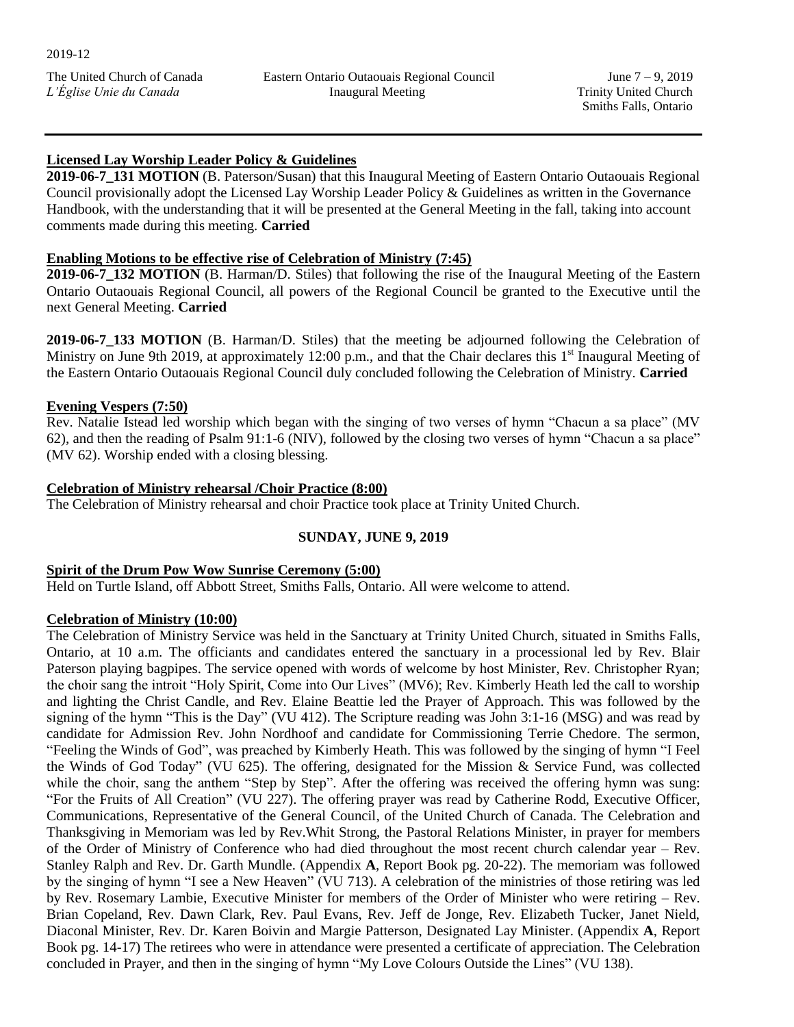# **Licensed Lay Worship Leader Policy & Guidelines**

**2019-06-7\_131 MOTION** (B. Paterson/Susan) that this Inaugural Meeting of Eastern Ontario Outaouais Regional Council provisionally adopt the Licensed Lay Worship Leader Policy & Guidelines as written in the Governance Handbook, with the understanding that it will be presented at the General Meeting in the fall, taking into account comments made during this meeting. **Carried** 

## **Enabling Motions to be effective rise of Celebration of Ministry (7:45)**

**2019-06-7\_132 MOTION** (B. Harman/D. Stiles) that following the rise of the Inaugural Meeting of the Eastern Ontario Outaouais Regional Council, all powers of the Regional Council be granted to the Executive until the next General Meeting. **Carried**

**2019-06-7\_133 MOTION** (B. Harman/D. Stiles) that the meeting be adjourned following the Celebration of Ministry on June 9th 2019, at approximately 12:00 p.m., and that the Chair declares this 1<sup>st</sup> Inaugural Meeting of the Eastern Ontario Outaouais Regional Council duly concluded following the Celebration of Ministry. **Carried** 

## **Evening Vespers (7:50)**

Rev. Natalie Istead led worship which began with the singing of two verses of hymn "Chacun a sa place" (MV 62), and then the reading of Psalm 91:1-6 (NIV), followed by the closing two verses of hymn "Chacun a sa place" (MV 62). Worship ended with a closing blessing.

### **Celebration of Ministry rehearsal /Choir Practice (8:00)**

The Celebration of Ministry rehearsal and choir Practice took place at Trinity United Church.

## **SUNDAY, JUNE 9, 2019**

## **Spirit of the Drum Pow Wow Sunrise Ceremony (5:00)**

Held on Turtle Island, off Abbott Street, Smiths Falls, Ontario. All were welcome to attend.

## **Celebration of Ministry (10:00)**

The Celebration of Ministry Service was held in the Sanctuary at Trinity United Church, situated in Smiths Falls, Ontario, at 10 a.m. The officiants and candidates entered the sanctuary in a processional led by Rev. Blair Paterson playing bagpipes. The service opened with words of welcome by host Minister, Rev. Christopher Ryan; the choir sang the introit "Holy Spirit, Come into Our Lives" (MV6); Rev. Kimberly Heath led the call to worship and lighting the Christ Candle, and Rev. Elaine Beattie led the Prayer of Approach. This was followed by the signing of the hymn "This is the Day" (VU 412). The Scripture reading was John 3:1-16 (MSG) and was read by candidate for Admission Rev. John Nordhoof and candidate for Commissioning Terrie Chedore. The sermon, "Feeling the Winds of God", was preached by Kimberly Heath. This was followed by the singing of hymn "I Feel the Winds of God Today" (VU 625). The offering, designated for the Mission & Service Fund, was collected while the choir, sang the anthem "Step by Step". After the offering was received the offering hymn was sung: "For the Fruits of All Creation" (VU 227). The offering prayer was read by Catherine Rodd, Executive Officer, Communications, Representative of the General Council, of the United Church of Canada. The Celebration and Thanksgiving in Memoriam was led by Rev.Whit Strong, the Pastoral Relations Minister, in prayer for members of the Order of Ministry of Conference who had died throughout the most recent church calendar year – Rev. Stanley Ralph and Rev. Dr. Garth Mundle. (Appendix **A**, Report Book pg. 20-22). The memoriam was followed by the singing of hymn "I see a New Heaven" (VU 713). A celebration of the ministries of those retiring was led by Rev. Rosemary Lambie, Executive Minister for members of the Order of Minister who were retiring – Rev. Brian Copeland, Rev. Dawn Clark, Rev. Paul Evans, Rev. Jeff de Jonge, Rev. Elizabeth Tucker, Janet Nield, Diaconal Minister, Rev. Dr. Karen Boivin and Margie Patterson, Designated Lay Minister. (Appendix **A**, Report Book pg. 14-17) The retirees who were in attendance were presented a certificate of appreciation. The Celebration concluded in Prayer, and then in the singing of hymn "My Love Colours Outside the Lines" (VU 138).